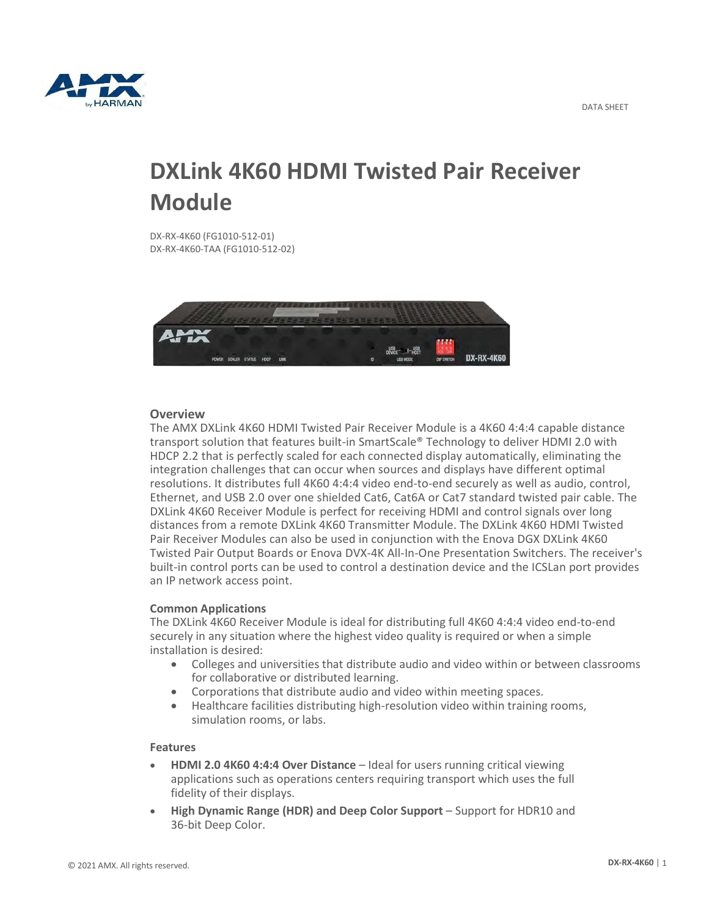

# **DXLink 4K60 HDMI Twisted Pair Receiver Module**

DX-RX-4K60 (FG1010-512-01) DX-RX-4K60-TAA (FG1010-512-02)



## **Overview**

The AMX DXLink 4K60 HDMI Twisted Pair Receiver Module is a 4K60 4:4:4 capable distance transport solution that features built-in SmartScale® Technology to deliver HDMI 2.0 with HDCP 2.2 that is perfectly scaled for each connected display automatically, eliminating the integration challenges that can occur when sources and displays have different optimal resolutions. It distributes full 4K60 4:4:4 video end-to-end securely as well as audio, control, Ethernet, and USB 2.0 over one shielded Cat6, Cat6A or Cat7 standard twisted pair cable. The DXLink 4K60 Receiver Module is perfect for receiving HDMI and control signals over long distances from a remote DXLink 4K60 Transmitter Module. The DXLink 4K60 HDMI Twisted Pair Receiver Modules can also be used in conjunction with the Enova DGX DXLink 4K60 Twisted Pair Output Boards or Enova DVX-4K All-In-One Presentation Switchers. The receiver's built-in control ports can be used to control a destination device and the ICSLan port provides an IP network access point.

### **Common Applications**

The DXLink 4K60 Receiver Module is ideal for distributing full 4K60 4:4:4 video end-to-end securely in any situation where the highest video quality is required or when a simple installation is desired:

- Colleges and universities that distribute audio and video within or between classrooms for collaborative or distributed learning.
- Corporations that distribute audio and video within meeting spaces.
- Healthcare facilities distributing high-resolution video within training rooms, simulation rooms, or labs.

### **Features**

- **HDMI 2.0 4K60 4:4:4 Over Distance**  Ideal for users running critical viewing applications such as operations centers requiring transport which uses the full fidelity of their displays.
- **High Dynamic Range (HDR) and Deep Color Support**  Support for HDR10 and 36-bit Deep Color.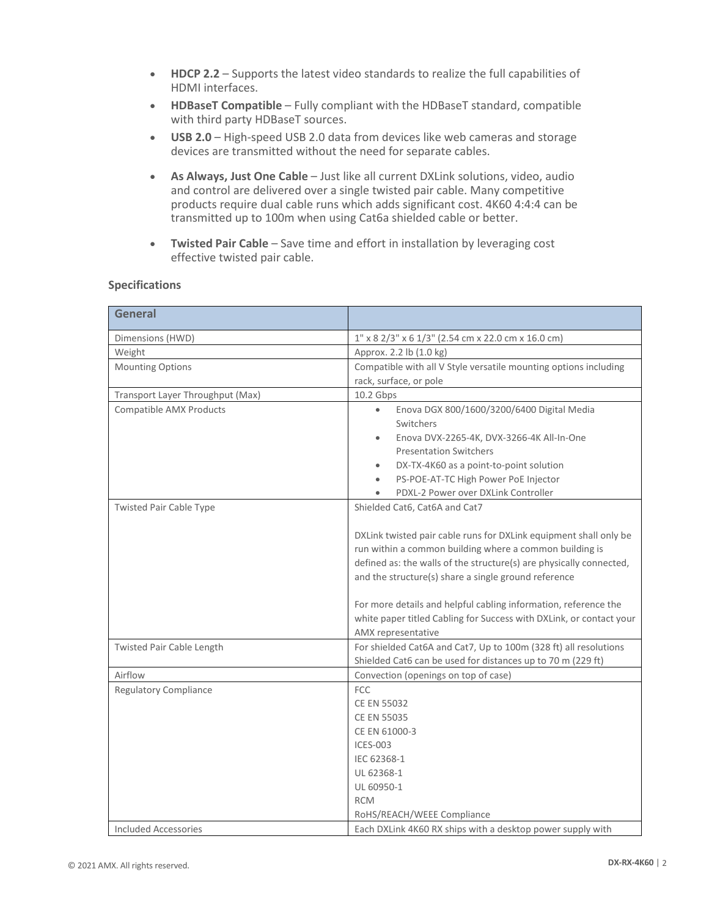- **HDCP 2.2**  Supports the latest video standards to realize the full capabilities of HDMI interfaces.
- **HDBaseT Compatible**  Fully compliant with the HDBaseT standard, compatible with third party HDBaseT sources.
- **USB 2.0**  High-speed USB 2.0 data from devices like web cameras and storage devices are transmitted without the need for separate cables.
- **As Always, Just One Cable** Just like all current DXLink solutions, video, audio and control are delivered over a single twisted pair cable. Many competitive products require dual cable runs which adds significant cost. 4K60 4:4:4 can be transmitted up to 100m when using Cat6a shielded cable or better.
- **Twisted Pair Cable** Save time and effort in installation by leveraging cost effective twisted pair cable.

| <b>Specifications</b> |  |
|-----------------------|--|
|-----------------------|--|

| <b>General</b>                   |                                                                     |
|----------------------------------|---------------------------------------------------------------------|
| Dimensions (HWD)                 | 1" x 8 2/3" x 6 1/3" (2.54 cm x 22.0 cm x 16.0 cm)                  |
| Weight                           | Approx. 2.2 lb (1.0 kg)                                             |
| <b>Mounting Options</b>          | Compatible with all V Style versatile mounting options including    |
|                                  | rack, surface, or pole                                              |
| Transport Layer Throughput (Max) | 10.2 Gbps                                                           |
| Compatible AMX Products          | Enova DGX 800/1600/3200/6400 Digital Media                          |
|                                  | Switchers                                                           |
|                                  | Enova DVX-2265-4K, DVX-3266-4K All-In-One<br>$\bullet$              |
|                                  | <b>Presentation Switchers</b>                                       |
|                                  | DX-TX-4K60 as a point-to-point solution<br>$\bullet$                |
|                                  | PS-POE-AT-TC High Power PoE Injector<br>$\bullet$                   |
|                                  | PDXL-2 Power over DXLink Controller                                 |
| <b>Twisted Pair Cable Type</b>   | Shielded Cat6, Cat6A and Cat7                                       |
|                                  |                                                                     |
|                                  | DXLink twisted pair cable runs for DXLink equipment shall only be   |
|                                  | run within a common building where a common building is             |
|                                  | defined as: the walls of the structure(s) are physically connected, |
|                                  | and the structure(s) share a single ground reference                |
|                                  | For more details and helpful cabling information, reference the     |
|                                  | white paper titled Cabling for Success with DXLink, or contact your |
|                                  | AMX representative                                                  |
| Twisted Pair Cable Length        | For shielded Cat6A and Cat7, Up to 100m (328 ft) all resolutions    |
|                                  | Shielded Cat6 can be used for distances up to 70 m (229 ft)         |
| Airflow                          | Convection (openings on top of case)                                |
| <b>Regulatory Compliance</b>     | <b>FCC</b>                                                          |
|                                  | <b>CE EN 55032</b>                                                  |
|                                  | <b>CE EN 55035</b>                                                  |
|                                  | CE EN 61000-3                                                       |
|                                  | <b>ICES-003</b>                                                     |
|                                  | IEC 62368-1                                                         |
|                                  | UL 62368-1                                                          |
|                                  | UL 60950-1                                                          |
|                                  | <b>RCM</b>                                                          |
|                                  | RoHS/REACH/WEEE Compliance                                          |
| Included Accessories             | Each DXLink 4K60 RX ships with a desktop power supply with          |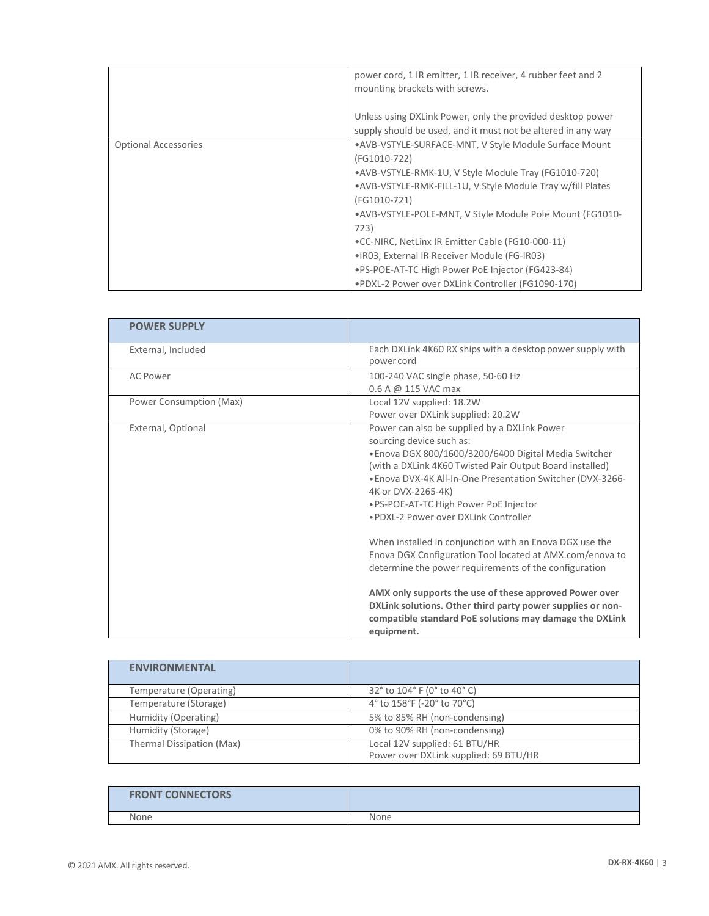|                             | power cord, 1 IR emitter, 1 IR receiver, 4 rubber feet and 2<br>mounting brackets with screws.                             |
|-----------------------------|----------------------------------------------------------------------------------------------------------------------------|
|                             | Unless using DXLink Power, only the provided desktop power<br>supply should be used, and it must not be altered in any way |
| <b>Optional Accessories</b> | • AVB-VSTYLE-SURFACE-MNT, V Style Module Surface Mount<br>(FG1010-722)                                                     |
|                             | • AVB-VSTYLE-RMK-1U, V Style Module Tray (FG1010-720)                                                                      |
|                             | •AVB-VSTYLE-RMK-FILL-1U, V Style Module Tray w/fill Plates                                                                 |
|                             | (FG1010-721)                                                                                                               |
|                             | .AVB-VSTYLE-POLE-MNT, V Style Module Pole Mount (FG1010-                                                                   |
|                             | 723)                                                                                                                       |
|                             | .CC-NIRC, NetLinx IR Emitter Cable (FG10-000-11)                                                                           |
|                             | .IR03, External IR Receiver Module (FG-IR03)                                                                               |
|                             | .PS-POE-AT-TC High Power PoE Injector (FG423-84)                                                                           |
|                             | .PDXL-2 Power over DXLink Controller (FG1090-170)                                                                          |

| <b>POWER SUPPLY</b>     |                                                                                                                                                                                                                                                                                                                                                                                                                                                                                                                                                                                                                                                                                                                                                        |
|-------------------------|--------------------------------------------------------------------------------------------------------------------------------------------------------------------------------------------------------------------------------------------------------------------------------------------------------------------------------------------------------------------------------------------------------------------------------------------------------------------------------------------------------------------------------------------------------------------------------------------------------------------------------------------------------------------------------------------------------------------------------------------------------|
| External, Included      | Each DXLink 4K60 RX ships with a desktop power supply with<br>power cord                                                                                                                                                                                                                                                                                                                                                                                                                                                                                                                                                                                                                                                                               |
| <b>AC Power</b>         | 100-240 VAC single phase, 50-60 Hz<br>0.6 A @ 115 VAC max                                                                                                                                                                                                                                                                                                                                                                                                                                                                                                                                                                                                                                                                                              |
| Power Consumption (Max) | Local 12V supplied: 18.2W<br>Power over DXLink supplied: 20.2W                                                                                                                                                                                                                                                                                                                                                                                                                                                                                                                                                                                                                                                                                         |
| External, Optional      | Power can also be supplied by a DXLink Power<br>sourcing device such as:<br>. Enova DGX 800/1600/3200/6400 Digital Media Switcher<br>(with a DXLink 4K60 Twisted Pair Output Board installed)<br>. Enova DVX-4K All-In-One Presentation Switcher (DVX-3266-<br>4K or DVX-2265-4K)<br>. PS-POE-AT-TC High Power PoE Injector<br>. PDXI-2 Power over DXI ink Controller<br>When installed in conjunction with an Enova DGX use the<br>Enova DGX Configuration Tool located at AMX.com/enova to<br>determine the power requirements of the configuration<br>AMX only supports the use of these approved Power over<br>DXLink solutions. Other third party power supplies or non-<br>compatible standard PoE solutions may damage the DXLink<br>equipment. |

| <b>ENVIRONMENTAL</b>      |                                                                        |
|---------------------------|------------------------------------------------------------------------|
| Temperature (Operating)   | 32° to 104° F (0° to 40° C)                                            |
| Temperature (Storage)     | 4° to 158°F (-20° to 70°C)                                             |
| Humidity (Operating)      | 5% to 85% RH (non-condensing)                                          |
| Humidity (Storage)        | 0% to 90% RH (non-condensing)                                          |
| Thermal Dissipation (Max) | Local 12V supplied: 61 BTU/HR<br>Power over DXLink supplied: 69 BTU/HR |

| <b>FRONT CONNECTORS</b> |      |
|-------------------------|------|
| None                    | None |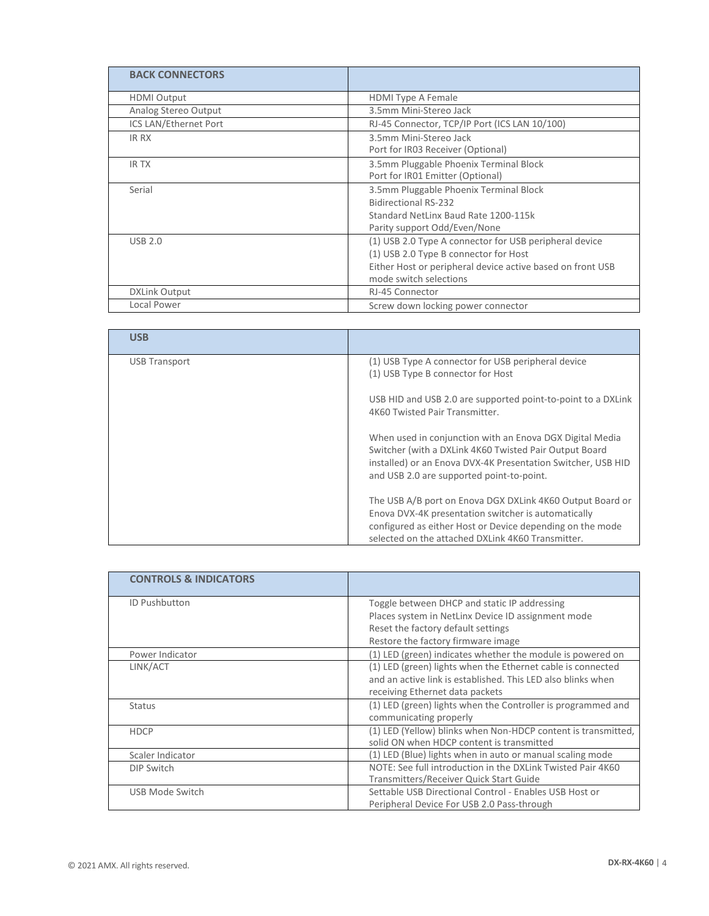| <b>BACK CONNECTORS</b> |                                                                                                                                                                                         |
|------------------------|-----------------------------------------------------------------------------------------------------------------------------------------------------------------------------------------|
| <b>HDMI Output</b>     | <b>HDMI Type A Female</b>                                                                                                                                                               |
| Analog Stereo Output   | 3.5mm Mini-Stereo Jack                                                                                                                                                                  |
| ICS LAN/Ethernet Port  | RJ-45 Connector, TCP/IP Port (ICS LAN 10/100)                                                                                                                                           |
| IR RX                  | 3.5mm Mini-Stereo Jack<br>Port for IR03 Receiver (Optional)                                                                                                                             |
| <b>IRTX</b>            | 3.5mm Pluggable Phoenix Terminal Block<br>Port for IR01 Emitter (Optional)                                                                                                              |
| Serial                 | 3.5mm Pluggable Phoenix Terminal Block<br><b>Bidirectional RS-232</b><br>Standard NetLinx Baud Rate 1200-115k<br>Parity support Odd/Even/None                                           |
| <b>USB 2.0</b>         | (1) USB 2.0 Type A connector for USB peripheral device<br>(1) USB 2.0 Type B connector for Host<br>Either Host or peripheral device active based on front USB<br>mode switch selections |
| <b>DXLink Output</b>   | RJ-45 Connector                                                                                                                                                                         |
| Local Power            | Screw down locking power connector                                                                                                                                                      |

| <b>USB</b>    |                                                                                                                                                                                                                                    |
|---------------|------------------------------------------------------------------------------------------------------------------------------------------------------------------------------------------------------------------------------------|
| USB Transport | (1) USB Type A connector for USB peripheral device<br>(1) USB Type B connector for Host                                                                                                                                            |
|               | USB HID and USB 2.0 are supported point-to-point to a DXLink<br>4K60 Twisted Pair Transmitter.                                                                                                                                     |
|               | When used in conjunction with an Enova DGX Digital Media<br>Switcher (with a DXLink 4K60 Twisted Pair Output Board<br>installed) or an Enova DVX-4K Presentation Switcher, USB HID<br>and USB 2.0 are supported point-to-point.    |
|               | The USB A/B port on Enova DGX DXLink 4K60 Output Board or<br>Enova DVX-4K presentation switcher is automatically<br>configured as either Host or Device depending on the mode<br>selected on the attached DXLink 4K60 Transmitter. |

| <b>CONTROLS &amp; INDICATORS</b> |                                                               |
|----------------------------------|---------------------------------------------------------------|
| <b>ID Pushbutton</b>             | Toggle between DHCP and static IP addressing                  |
|                                  | Places system in NetLinx Device ID assignment mode            |
|                                  | Reset the factory default settings                            |
|                                  | Restore the factory firmware image                            |
| Power Indicator                  | (1) LED (green) indicates whether the module is powered on    |
| LINK/ACT                         | (1) LED (green) lights when the Ethernet cable is connected   |
|                                  | and an active link is established. This LED also blinks when  |
|                                  | receiving Ethernet data packets                               |
| <b>Status</b>                    | (1) LED (green) lights when the Controller is programmed and  |
|                                  | communicating properly                                        |
| <b>HDCP</b>                      | (1) LED (Yellow) blinks when Non-HDCP content is transmitted, |
|                                  | solid ON when HDCP content is transmitted                     |
| Scaler Indicator                 | (1) LED (Blue) lights when in auto or manual scaling mode     |
| <b>DIP Switch</b>                | NOTE: See full introduction in the DXLink Twisted Pair 4K60   |
|                                  | Transmitters/Receiver Quick Start Guide                       |
| USB Mode Switch                  | Settable USB Directional Control - Enables USB Host or        |
|                                  | Peripheral Device For USB 2.0 Pass-through                    |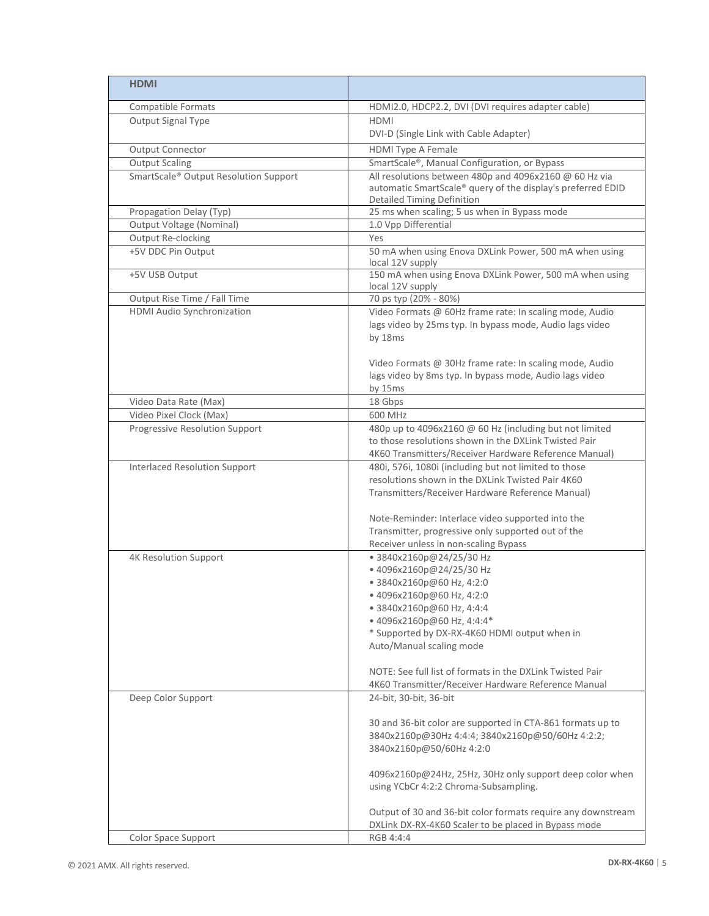| <b>HDMI</b>                                                |                                                                                                                                                            |
|------------------------------------------------------------|------------------------------------------------------------------------------------------------------------------------------------------------------------|
| Compatible Formats                                         | HDMI2.0, HDCP2.2, DVI (DVI requires adapter cable)                                                                                                         |
| Output Signal Type                                         | <b>HDMI</b>                                                                                                                                                |
|                                                            | DVI-D (Single Link with Cable Adapter)                                                                                                                     |
| Output Connector                                           | <b>HDMI Type A Female</b>                                                                                                                                  |
| <b>Output Scaling</b>                                      | SmartScale®, Manual Configuration, or Bypass                                                                                                               |
| SmartScale® Output Resolution Support                      | All resolutions between 480p and 4096x2160 @ 60 Hz via<br>automatic SmartScale® query of the display's preferred EDID<br><b>Detailed Timing Definition</b> |
| Propagation Delay (Typ)                                    | 25 ms when scaling; 5 us when in Bypass mode                                                                                                               |
| <b>Output Voltage (Nominal)</b>                            | 1.0 Vpp Differential                                                                                                                                       |
| Output Re-clocking                                         | Yes                                                                                                                                                        |
| +5V DDC Pin Output                                         | 50 mA when using Enova DXLink Power, 500 mA when using<br>local 12V supply                                                                                 |
| +5V USB Output                                             | 150 mA when using Enova DXLink Power, 500 mA when using<br>local 12V supply                                                                                |
| Output Rise Time / Fall Time<br>HDMI Audio Synchronization | 70 ps typ (20% - 80%)                                                                                                                                      |
|                                                            | Video Formats @ 60Hz frame rate: In scaling mode, Audio<br>lags video by 25ms typ. In bypass mode, Audio lags video<br>by 18ms                             |
|                                                            | Video Formats @ 30Hz frame rate: In scaling mode, Audio<br>lags video by 8ms typ. In bypass mode, Audio lags video<br>by 15ms                              |
| Video Data Rate (Max)                                      | 18 Gbps                                                                                                                                                    |
| Video Pixel Clock (Max)                                    | 600 MHz                                                                                                                                                    |
| Progressive Resolution Support                             | 480p up to 4096x2160 @ 60 Hz (including but not limited                                                                                                    |
|                                                            | to those resolutions shown in the DXLink Twisted Pair                                                                                                      |
| <b>Interlaced Resolution Support</b>                       | 4K60 Transmitters/Receiver Hardware Reference Manual)<br>480i, 576i, 1080i (including but not limited to those                                             |
|                                                            | resolutions shown in the DXLink Twisted Pair 4K60                                                                                                          |
|                                                            | Transmitters/Receiver Hardware Reference Manual)                                                                                                           |
|                                                            | Note-Reminder: Interlace video supported into the                                                                                                          |
|                                                            | Transmitter, progressive only supported out of the                                                                                                         |
|                                                            | Receiver unless in non-scaling Bypass                                                                                                                      |
| <b>4K Resolution Support</b>                               | • 3840x2160p@24/25/30 Hz<br>• 4096x2160p@24/25/30 Hz                                                                                                       |
|                                                            | • 3840x2160p@60 Hz, 4:2:0                                                                                                                                  |
|                                                            | • 4096x2160p@60 Hz, 4:2:0                                                                                                                                  |
|                                                            | • 3840x2160p@60 Hz, 4:4:4                                                                                                                                  |
|                                                            | • 4096x2160p@60 Hz, 4:4:4*                                                                                                                                 |
|                                                            | * Supported by DX-RX-4K60 HDMI output when in                                                                                                              |
|                                                            | Auto/Manual scaling mode                                                                                                                                   |
|                                                            | NOTE: See full list of formats in the DXLink Twisted Pair                                                                                                  |
|                                                            | 4K60 Transmitter/Receiver Hardware Reference Manual                                                                                                        |
| Deep Color Support                                         | 24-bit, 30-bit, 36-bit                                                                                                                                     |
|                                                            |                                                                                                                                                            |
|                                                            | 30 and 36-bit color are supported in CTA-861 formats up to                                                                                                 |
|                                                            | 3840x2160p@30Hz 4:4:4; 3840x2160p@50/60Hz 4:2:2;                                                                                                           |
|                                                            | 3840x2160p@50/60Hz 4:2:0                                                                                                                                   |
|                                                            |                                                                                                                                                            |
|                                                            | 4096x2160p@24Hz, 25Hz, 30Hz only support deep color when<br>using YCbCr 4:2:2 Chroma-Subsampling.                                                          |
|                                                            | Output of 30 and 36-bit color formats require any downstream                                                                                               |
|                                                            | DXLink DX-RX-4K60 Scaler to be placed in Bypass mode                                                                                                       |
| Color Space Support                                        | RGB 4:4:4                                                                                                                                                  |